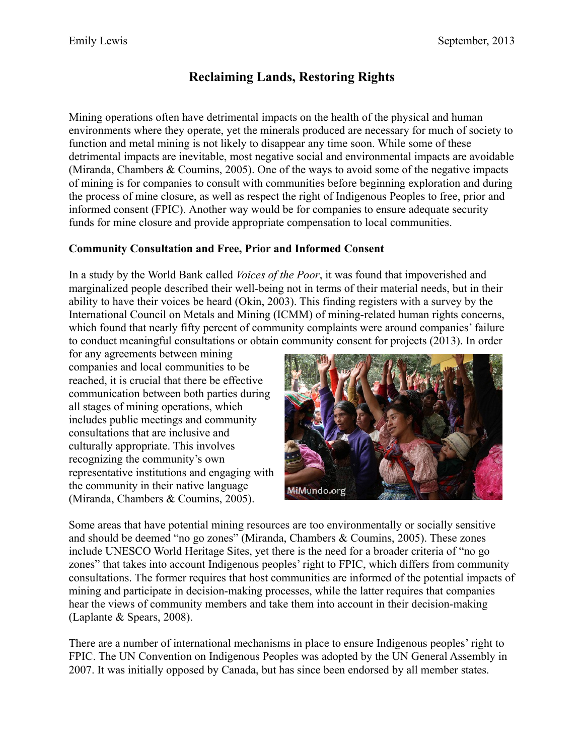# **Reclaiming Lands, Restoring Rights**

Mining operations often have detrimental impacts on the health of the physical and human environments where they operate, yet the minerals produced are necessary for much of society to function and metal mining is not likely to disappear any time soon. While some of these detrimental impacts are inevitable, most negative social and environmental impacts are avoidable (Miranda, Chambers & Coumins, 2005). One of the ways to avoid some of the negative impacts of mining is for companies to consult with communities before beginning exploration and during the process of mine closure, as well as respect the right of Indigenous Peoples to free, prior and informed consent (FPIC). Another way would be for companies to ensure adequate security funds for mine closure and provide appropriate compensation to local communities.

## **Community Consultation and Free, Prior and Informed Consent**

In a study by the World Bank called *Voices of the Poor*, it was found that impoverished and marginalized people described their well-being not in terms of their material needs, but in their ability to have their voices be heard (Okin, 2003). This finding registers with a survey by the International Council on Metals and Mining (ICMM) of mining-related human rights concerns, which found that nearly fifty percent of community complaints were around companies' failure to conduct meaningful consultations or obtain community consent for projects (2013). In order

for any agreements between mining companies and local communities to be reached, it is crucial that there be effective communication between both parties during all stages of mining operations, which includes public meetings and community consultations that are inclusive and culturally appropriate. This involves recognizing the community's own representative institutions and engaging with the community in their native language (Miranda, Chambers & Coumins, 2005).



Some areas that have potential mining resources are too environmentally or socially sensitive and should be deemed "no go zones" (Miranda, Chambers & Coumins, 2005). These zones include UNESCO World Heritage Sites, yet there is the need for a broader criteria of "no go zones" that takes into account Indigenous peoples' right to FPIC, which differs from community consultations. The former requires that host communities are informed of the potential impacts of mining and participate in decision-making processes, while the latter requires that companies hear the views of community members and take them into account in their decision-making (Laplante & Spears, 2008).

There are a number of international mechanisms in place to ensure Indigenous peoples' right to FPIC. The UN Convention on Indigenous Peoples was adopted by the UN General Assembly in 2007. It was initially opposed by Canada, but has since been endorsed by all member states.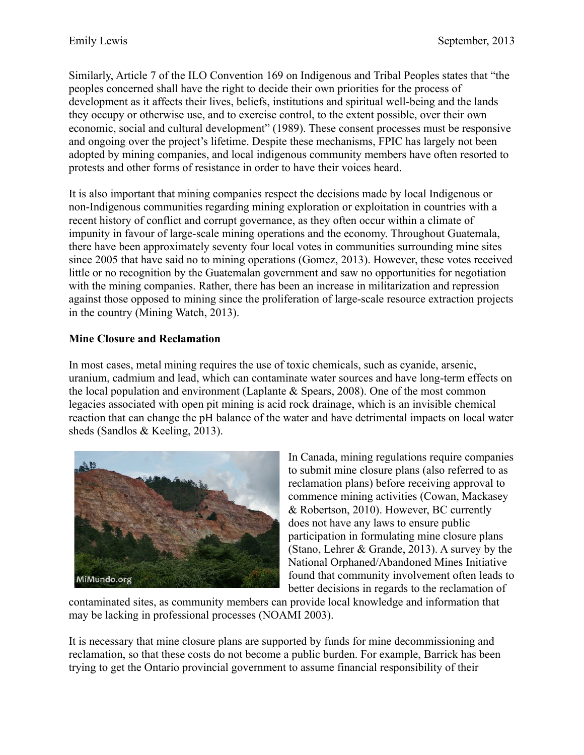Similarly, Article 7 of the ILO Convention 169 on Indigenous and Tribal Peoples states that "the peoples concerned shall have the right to decide their own priorities for the process of development as it affects their lives, beliefs, institutions and spiritual well-being and the lands they occupy or otherwise use, and to exercise control, to the extent possible, over their own economic, social and cultural development" (1989). These consent processes must be responsive and ongoing over the project's lifetime. Despite these mechanisms, FPIC has largely not been adopted by mining companies, and local indigenous community members have often resorted to protests and other forms of resistance in order to have their voices heard.

It is also important that mining companies respect the decisions made by local Indigenous or non-Indigenous communities regarding mining exploration or exploitation in countries with a recent history of conflict and corrupt governance, as they often occur within a climate of impunity in favour of large-scale mining operations and the economy. Throughout Guatemala, there have been approximately seventy four local votes in communities surrounding mine sites since 2005 that have said no to mining operations (Gomez, 2013). However, these votes received little or no recognition by the Guatemalan government and saw no opportunities for negotiation with the mining companies. Rather, there has been an increase in militarization and repression against those opposed to mining since the proliferation of large-scale resource extraction projects in the country (Mining Watch, 2013).

#### **Mine Closure and Reclamation**

In most cases, metal mining requires the use of toxic chemicals, such as cyanide, arsenic, uranium, cadmium and lead, which can contaminate water sources and have long-term effects on the local population and environment (Laplante & Spears, 2008). One of the most common legacies associated with open pit mining is acid rock drainage, which is an invisible chemical reaction that can change the pH balance of the water and have detrimental impacts on local water sheds (Sandlos & Keeling, 2013).



In Canada, mining regulations require companies to submit mine closure plans (also referred to as reclamation plans) before receiving approval to commence mining activities (Cowan, Mackasey & Robertson, 2010). However, BC currently does not have any laws to ensure public participation in formulating mine closure plans (Stano, Lehrer & Grande, 2013). A survey by the National Orphaned/Abandoned Mines Initiative found that community involvement often leads to better decisions in regards to the reclamation of

contaminated sites, as community members can provide local knowledge and information that may be lacking in professional processes (NOAMI 2003).

It is necessary that mine closure plans are supported by funds for mine decommissioning and reclamation, so that these costs do not become a public burden. For example, Barrick has been trying to get the Ontario provincial government to assume financial responsibility of their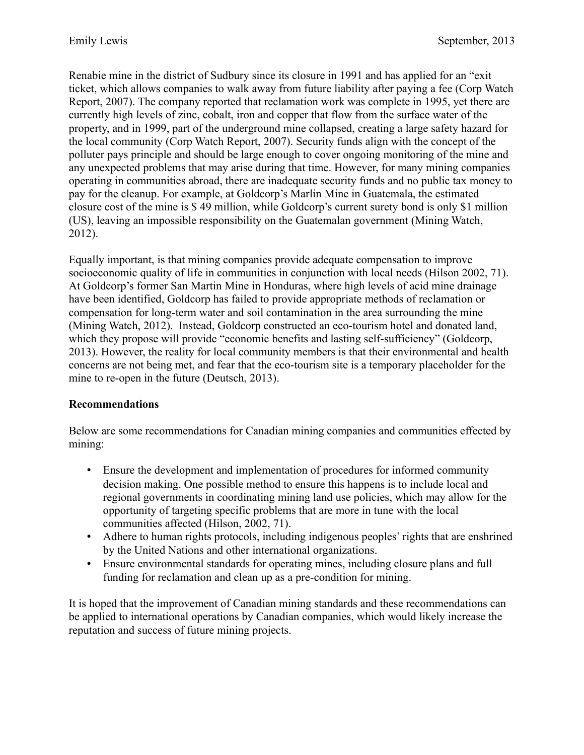Renabie mine in the district of Sudbury since its closure in 1991 and has applied for an "exit ticket, which allows companies to walk away from future liability after paying a fee (Corp Watch Report, 2007). The company reported that reclamation work was complete in 1995, yet there are currently high levels of zinc, cobalt, iron and copper that flow from the surface water of the property, and in 1999, part of the underground mine collapsed, creating a large safety hazard for the local community (Corp Watch Report, 2007). Security funds align with the concept of the polluter pays principle and should be large enough to cover ongoing monitoring of the mine and any unexpected problems that may arise during that time. However, for many mining companies operating in communities abroad, there are inadequate security funds and no public tax money to pay for the cleanup. For example, at Goldcorp's Marlin Mine in Guatemala, the estimated closure cost of the mine is \$ 49 million, while Goldcorp's current surety bond is only \$1 million (US), leaving an impossible responsibility on the Guatemalan government (Mining Watch, 2012).

Equally important, is that mining companies provide adequate compensation to improve socioeconomic quality of life in communities in conjunction with local needs (Hilson 2002, 71). At Goldcorp's former San Martin Mine in Honduras, where high levels of acid mine drainage have been identified, Goldcorp has failed to provide appropriate methods of reclamation or compensation for long-term water and soil contamination in the area surrounding the mine (Mining Watch, 2012). Instead, Goldcorp constructed an eco-tourism hotel and donated land, which they propose will provide "economic benefits and lasting self-sufficiency" (Goldcorp, 2013). However, the reality for local community members is that their environmental and health concerns are not being met, and fear that the eco-tourism site is a temporary placeholder for the mine to re-open in the future (Deutsch, 2013).

### **Recommendations**

Below are some recommendations for Canadian mining companies and communities effected by mining:

- Ensure the development and implementation of procedures for informed community decision making. One possible method to ensure this happens is to include local and regional governments in coordinating mining land use policies, which may allow for the opportunity of targeting specific problems that are more in tune with the local communities affected (Hilson, 2002, 71).
- Adhere to human rights protocols, including indigenous peoples' rights that are enshrined by the United Nations and other international organizations.
- Ensure environmental standards for operating mines, including closure plans and full funding for reclamation and clean up as a pre-condition for mining.

It is hoped that the improvement of Canadian mining standards and these recommendations can be applied to international operations by Canadian companies, which would likely increase the reputation and success of future mining projects.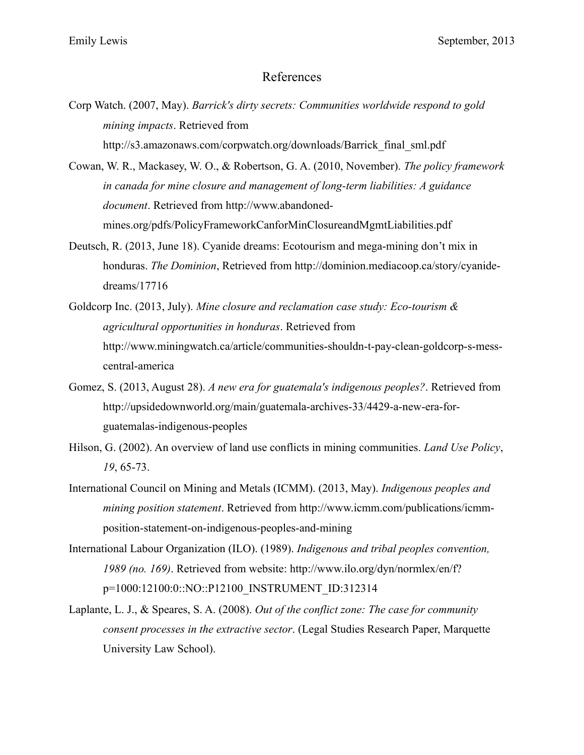#### References

- Corp Watch. (2007, May). *Barrick's dirty secrets: Communities worldwide respond to gold mining impacts*. Retrieved from http://s3.amazonaws.com/corpwatch.org/downloads/Barrick\_final\_sml.pdf
- Cowan, W. R., Mackasey, W. O., & Robertson, G. A. (2010, November). *The policy framework in canada for mine closure and management of long-term liabilities: A guidance document*. Retrieved from http://www.abandonedmines.org/pdfs/PolicyFrameworkCanforMinClosureandMgmtLiabilities.pdf
- Deutsch, R. (2013, June 18). Cyanide dreams: Ecotourism and mega-mining don't mix in honduras. *The Dominion*, Retrieved from http://dominion.mediacoop.ca/story/cyanidedreams/17716
- Goldcorp Inc. (2013, July). *Mine closure and reclamation case study: Eco-tourism & agricultural opportunities in honduras*. Retrieved from http://www.miningwatch.ca/article/communities-shouldn-t-pay-clean-goldcorp-s-messcentral-america
- Gomez, S. (2013, August 28). *A new era for guatemala's indigenous peoples?*. Retrieved from http://upsidedownworld.org/main/guatemala-archives-33/4429-a-new-era-forguatemalas-indigenous-peoples
- Hilson, G. (2002). An overview of land use conflicts in mining communities. *Land Use Policy*, *19*, 65-73.
- International Council on Mining and Metals (ICMM). (2013, May). *Indigenous peoples and mining position statement*. Retrieved from http://www.icmm.com/publications/icmmposition-statement-on-indigenous-peoples-and-mining
- International Labour Organization (ILO). (1989). *Indigenous and tribal peoples convention, 1989 (no. 169)*. Retrieved from website: http://www.ilo.org/dyn/normlex/en/f? p=1000:12100:0::NO::P12100\_INSTRUMENT\_ID:312314
- Laplante, L. J., & Speares, S. A. (2008). *Out of the conflict zone: The case for community consent processes in the extractive sector*. (Legal Studies Research Paper, Marquette University Law School).